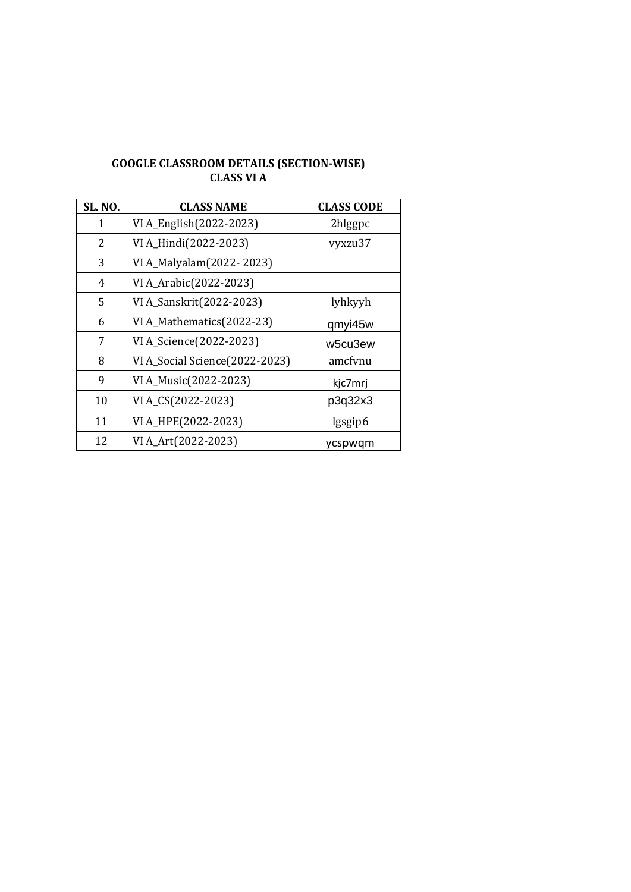# **GOOGLE CLASSROOM DETAILS (SECTION-WISE) CLASS VI A**

| <b>SL. NO.</b> | <b>CLASS NAME</b>              | <b>CLASS CODE</b> |
|----------------|--------------------------------|-------------------|
| 1              | VI A_English(2022-2023)        | 2hlggpc           |
| 2              | VI A_Hindi(2022-2023)          | vyxzu37           |
| 3              | VI A_Malyalam(2022-2023)       |                   |
| 4              | VI A_Arabic(2022-2023)         |                   |
| 5              | VI A_Sanskrit(2022-2023)       | lyhkyyh           |
| 6              | VI A_Mathematics(2022-23)      | qmyi45w           |
| 7              | VI A_Science(2022-2023)        | w5cu3ew           |
| 8              | VI A_Social Science(2022-2023) | amcfynu           |
| 9              | VI A_Music(2022-2023)          | kjc7mrj           |
| 10             | VI A_CS(2022-2023)             | p3q32x3           |
| 11             | VI A_HPE(2022-2023)            | lgsgip6           |
| 12             | VI A_Art(2022-2023)            | ycspwqm           |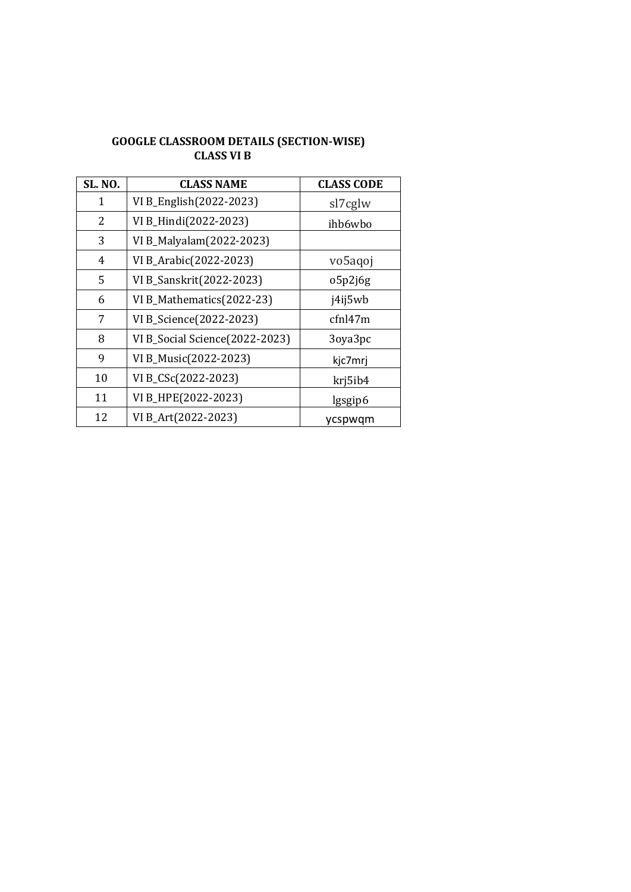#### **GOOGLE CLASSROOM DETAILS (SECTION-WISE) CLASS VI B**

| <b>SL. NO.</b> | <b>CLASS NAME</b>              | <b>CLASS CODE</b> |
|----------------|--------------------------------|-------------------|
| 1              | VI B_English(2022-2023)        | sl7cglw           |
| 2              | VI B_Hindi(2022-2023)          | ihb6wbo           |
| 3              | VI B_Malyalam(2022-2023)       |                   |
| 4              | VI B_Arabic(2022-2023)         | vo5agoj           |
| 5              | VI B_Sanskrit(2022-2023)       | o5p2j6g           |
| 6              | VI B_Mathematics(2022-23)      | j4ij5wb           |
| 7              | VI B_Science(2022-2023)        | cfn147m           |
| 8              | VI B_Social Science(2022-2023) | 3oya3pc           |
| 9              | VI B_Music(2022-2023)          | kjc7mrj           |
| 10             | VI B_CSc(2022-2023)            | krj5ib4           |
| 11             | VI B_HPE(2022-2023)            | lgsgip6           |
| 12             | VI B_Art(2022-2023)            | ycspwqm           |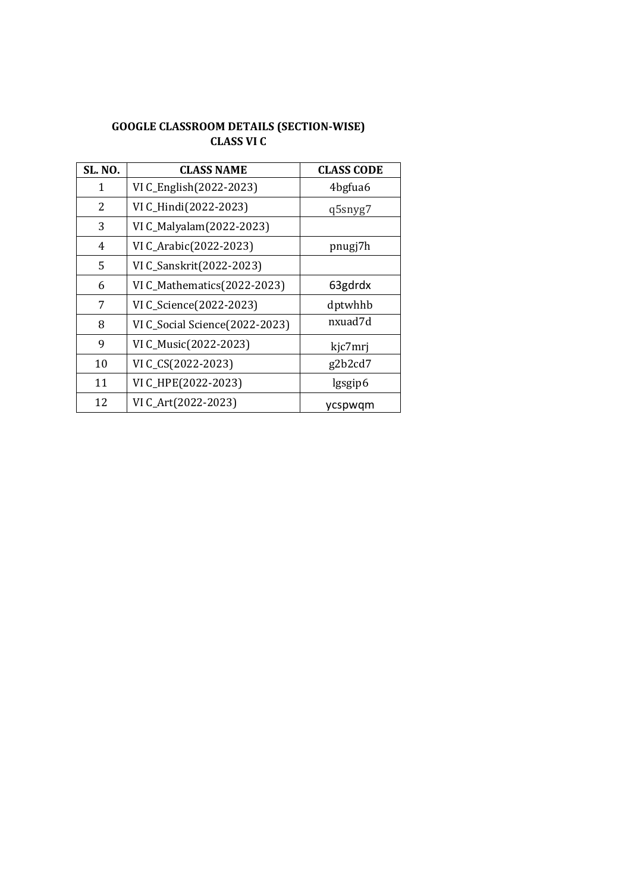## **GOOGLE CLASSROOM DETAILS (SECTION-WISE) CLASS VI C**

| <b>SL. NO.</b> | <b>CLASS NAME</b>              | <b>CLASS CODE</b> |
|----------------|--------------------------------|-------------------|
| 1              | VI C_English(2022-2023)        | 4bgfua6           |
| 2              | VI C_Hindi(2022-2023)          | q5snyg7           |
| 3              | VI C_Malyalam(2022-2023)       |                   |
| 4              | VI C_Arabic(2022-2023)         | pnugj7h           |
| 5              | VI C_Sanskrit(2022-2023)       |                   |
| 6              | VI C_Mathematics(2022-2023)    | 63gdrdx           |
| 7              | VI C_Science(2022-2023)        | dptwhhb           |
| 8              | VI C_Social Science(2022-2023) | nxuad7d           |
| 9              | VI C_Music(2022-2023)          | kjc7mrj           |
| 10             | VI C_CS(2022-2023)             | g2b2cd7           |
| 11             | VI C_HPE(2022-2023)            | lgsgip6           |
| 12             | VI C_Art(2022-2023)            | ycspwqm           |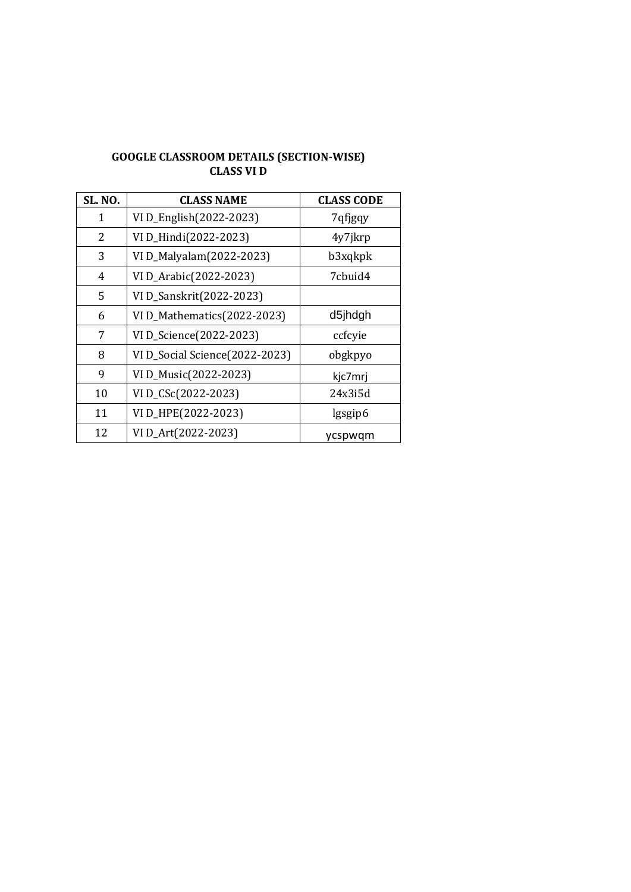## **GOOGLE CLASSROOM DETAILS (SECTION-WISE) CLASS VI D**

| <b>SL. NO.</b> | <b>CLASS NAME</b>              | <b>CLASS CODE</b> |
|----------------|--------------------------------|-------------------|
| 1              | VI D_English(2022-2023)        | 7qfjgqy           |
| 2              | VI D_Hindi(2022-2023)          | 4y7jkrp           |
| 3              | VI D_Malyalam(2022-2023)       | b3xqkpk           |
| 4              | VI D_Arabic(2022-2023)         | 7cbuid4           |
| 5              | VI D_Sanskrit(2022-2023)       |                   |
| 6              | VI D_Mathematics(2022-2023)    | d5jhdgh           |
| 7              | VI D_Science(2022-2023)        | ccfcyie           |
| 8              | VI D_Social Science(2022-2023) | obgkpyo           |
| 9              | VI D_Music(2022-2023)          | kjc7mrj           |
| 10             | VI D_CSc(2022-2023)            | 24x3i5d           |
| 11             | VI D_HPE(2022-2023)            | lgsgip6           |
| 12             | VI D_Art(2022-2023)            | ycspwqm           |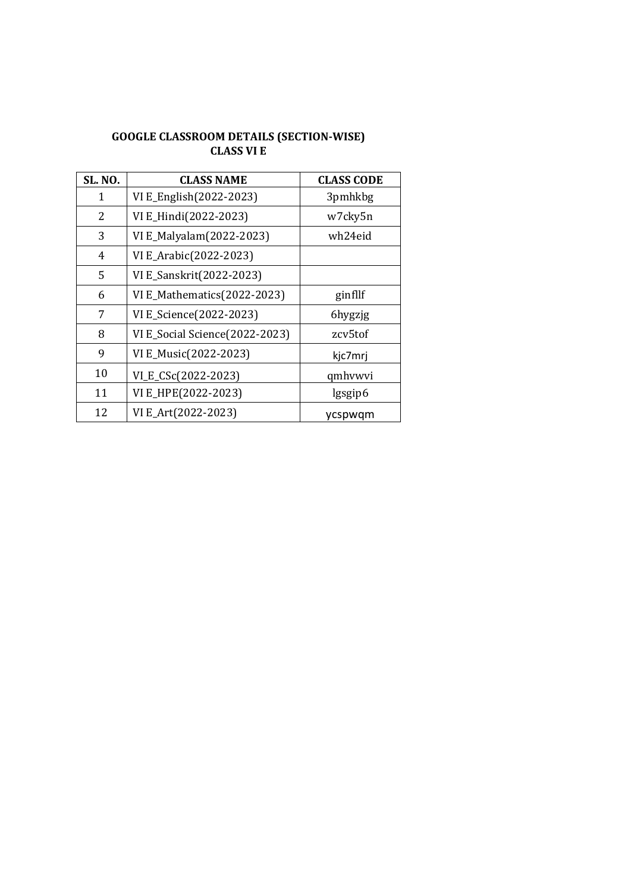# **GOOGLE CLASSROOM DETAILS (SECTION-WISE) CLASS VI E**

| <b>SL. NO.</b> | <b>CLASS NAME</b>              | <b>CLASS CODE</b> |
|----------------|--------------------------------|-------------------|
| 1              | VI E_English(2022-2023)        | 3pmhkbg           |
| 2              | VI E_Hindi(2022-2023)          | w7cky5n           |
| 3              | VI E_Malyalam(2022-2023)       | wh24eid           |
| 4              | VI E_Arabic(2022-2023)         |                   |
| 5              | VI E_Sanskrit(2022-2023)       |                   |
| 6              | VI E_Mathematics(2022-2023)    | ginfllf           |
| 7              | VI E_Science(2022-2023)        | 6hygzjg           |
| 8              | VI E_Social Science(2022-2023) | zcv5tof           |
| 9              | VI E_Music(2022-2023)          | kjc7mrj           |
| 10             | VI_E_CSc(2022-2023)            | qmhvwvi           |
| 11             | VI E_HPE(2022-2023)            | lgsgip6           |
| 12             | VI E_Art(2022-2023)            | ycspwgm           |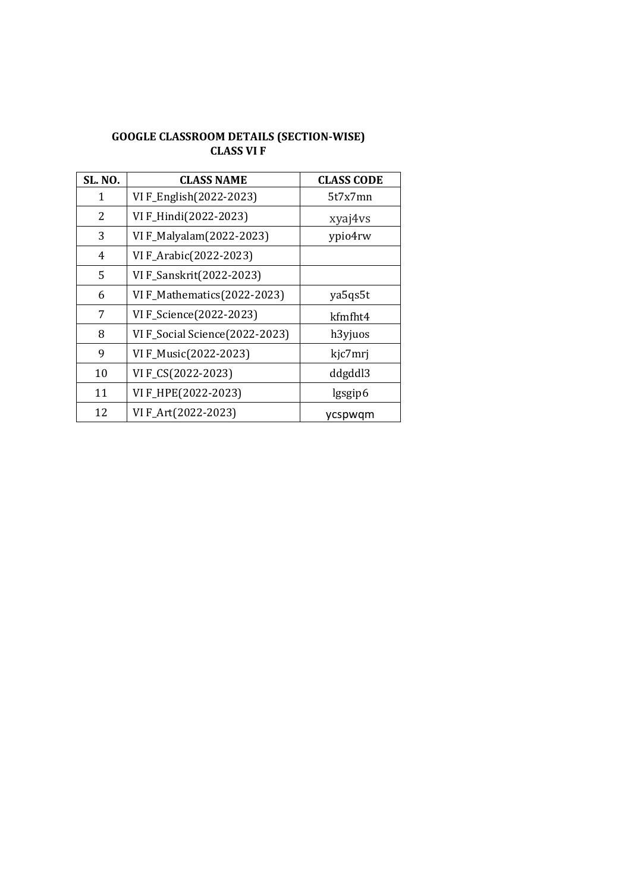# **GOOGLE CLASSROOM DETAILS (SECTION-WISE) CLASS VI F**

| <b>SL. NO.</b> | <b>CLASS NAME</b>              | <b>CLASS CODE</b> |
|----------------|--------------------------------|-------------------|
| 1              | VI F_English(2022-2023)        | 5t7x7mn           |
| 2              | VI F_Hindi(2022-2023)          | xyaj4vs           |
| 3              | VI F_Malyalam(2022-2023)       | ypio4rw           |
| 4              | VI F_Arabic(2022-2023)         |                   |
| 5              | VI F_Sanskrit(2022-2023)       |                   |
| 6              | VI F_Mathematics(2022-2023)    | ya5qs5t           |
| 7              | VI F_Science(2022-2023)        | kfmfht4           |
| 8              | VI F_Social Science(2022-2023) | h3yjuos           |
| 9              | VI F_Music(2022-2023)          | kjc7mrj           |
| 10             | VI F_CS(2022-2023)             | ddgddl3           |
| 11             | VI F_HPE(2022-2023)            | lgsgip6           |
| 12             | VI F_Art(2022-2023)            | ycspwgm           |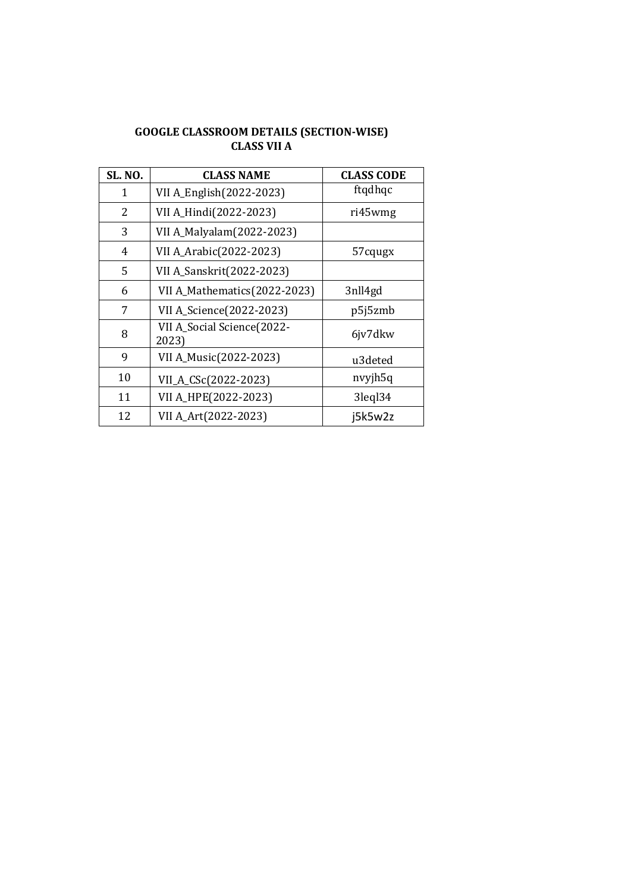# **GOOGLE CLASSROOM DETAILS (SECTION-WISE) CLASS VII A**

| <b>SL. NO.</b> | <b>CLASS NAME</b>                   | <b>CLASS CODE</b>   |
|----------------|-------------------------------------|---------------------|
| 1              | VII A_English(2022-2023)            | ftqdhqc             |
| 2              | VII A_Hindi(2022-2023)              | ri45wmg             |
| 3              | VII A_Malyalam(2022-2023)           |                     |
| 4              | VII A_Arabic(2022-2023)             | 57cqugx             |
| 5              | VII A_Sanskrit(2022-2023)           |                     |
| 6              | VII A_Mathematics(2022-2023)        | 3nll4gd             |
| 7              | VII A_Science(2022-2023)            | p5j5zmb             |
| 8              | VII A_Social Science(2022-<br>2023) | 6jv7dkw             |
| 9              | VII A_Music(2022-2023)              | u3deted             |
| 10             | VII_A_CSc(2022-2023)                | nvyjh5q             |
| 11             | VII A_HPE(2022-2023)                | 3legl <sub>34</sub> |
| 12             | VII A_Art(2022-2023)                | j5k5w2z             |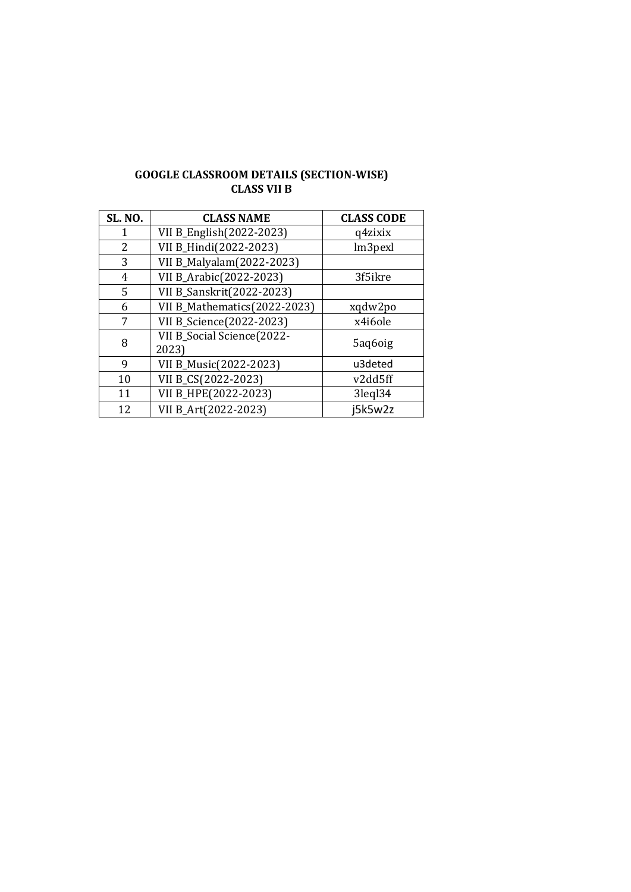## **GOOGLE CLASSROOM DETAILS (SECTION-WISE) CLASS VII B**

| <b>SL. NO.</b> | <b>CLASS NAME</b>                   | <b>CLASS CODE</b> |
|----------------|-------------------------------------|-------------------|
| 1              | VII B_English(2022-2023)            | q4zixix           |
| 2              | VII B_Hindi(2022-2023)              | lm3pexl           |
| 3              | VII B_Malyalam(2022-2023)           |                   |
| 4              | VII B_Arabic(2022-2023)             | 3f5ikre           |
| 5              | VII B_Sanskrit(2022-2023)           |                   |
| 6              | VII B_Mathematics(2022-2023)        | xqdw2po           |
| 7              | VII B_Science(2022-2023)            | x4i6ole           |
| 8              | VII B_Social Science(2022-<br>2023) | 5aq6oig           |
| 9              | VII B_Music(2022-2023)              | u3deted           |
| 10             | VII B_CS(2022-2023)                 | v2dd5ff           |
| 11             | VII B_HPE(2022-2023)                | 3legl34           |
| 12             | VII B_Art(2022-2023)                | j5k5w2z           |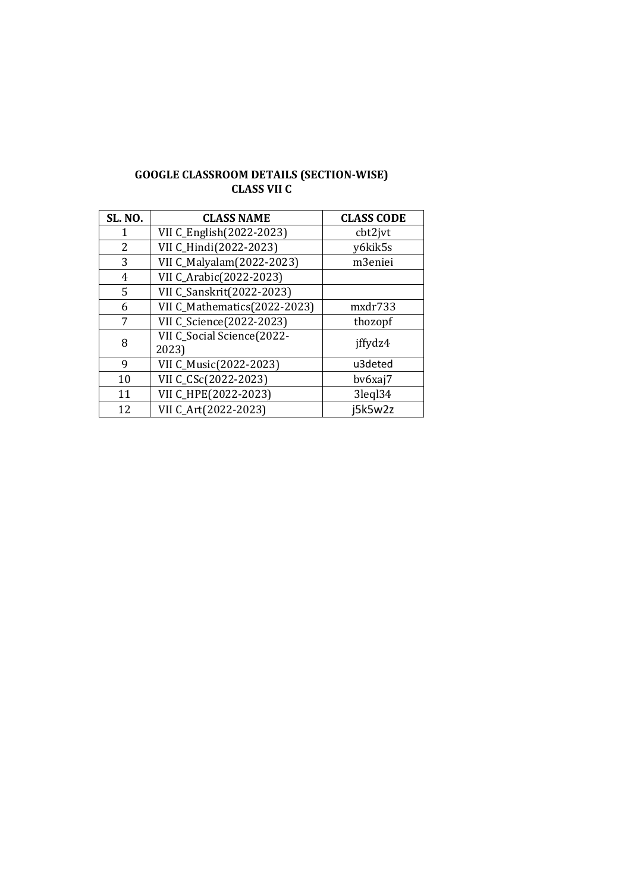| <b>GOOGLE CLASSROOM DETAILS (SECTION-WISE)</b> |  |
|------------------------------------------------|--|
| CLASS VII C                                    |  |

| <b>SL. NO.</b> | <b>CLASS NAME</b>                   | <b>CLASS CODE</b> |
|----------------|-------------------------------------|-------------------|
| 1              | VII C_English(2022-2023)            | cbt2jvt           |
| 2              | VII C_Hindi(2022-2023)              | y6kik5s           |
| 3              | VII C_Malyalam(2022-2023)           | m3eniei           |
| 4              | VII C_Arabic(2022-2023)             |                   |
| 5              | VII C_Sanskrit(2022-2023)           |                   |
| 6              | VII C_Mathematics(2022-2023)        | mxdr733           |
| 7              | VII C_Science(2022-2023)            | thozopf           |
| 8              | VII C_Social Science(2022-<br>2023) | jffydz4           |
| 9              | VII C_Music(2022-2023)              | u3deted           |
| 10             | VII C_CSc(2022-2023)                | bv6xaj7           |
| 11             | VII C_HPE(2022-2023)                | 3legl34           |
| 12             | VII C Art(2022-2023)                | j5k5w2z           |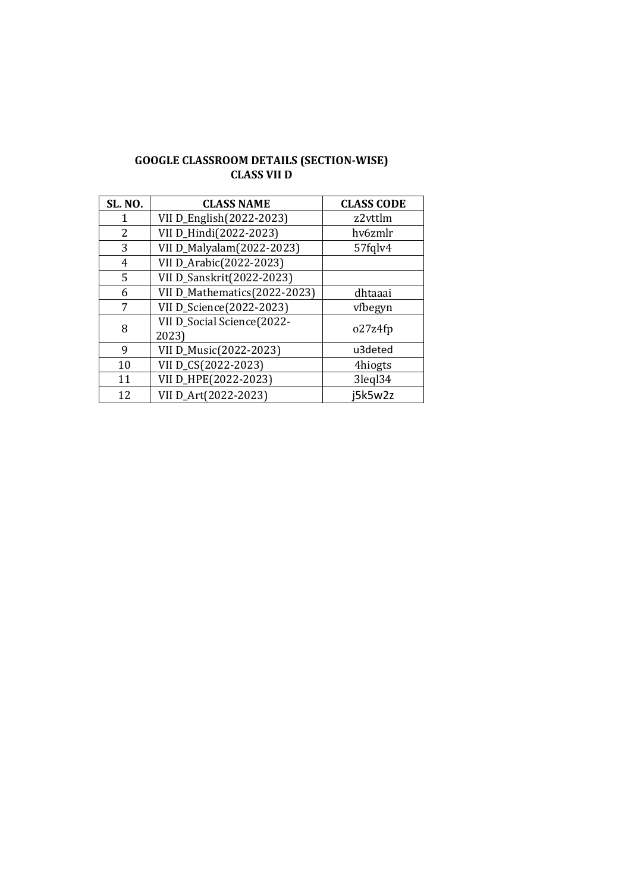## **GOOGLE CLASSROOM DETAILS (SECTION-WISE) CLASS VII D**

| <b>SL. NO.</b> | <b>CLASS NAME</b>                   | <b>CLASS CODE</b> |
|----------------|-------------------------------------|-------------------|
| 1              | VII D_English(2022-2023)            | z2vttlm           |
| 2              | VII D_Hindi(2022-2023)              | hv6zmlr           |
| 3              | VII D_Malyalam(2022-2023)           | 57fglv4           |
| 4              | VII D_Arabic(2022-2023)             |                   |
| 5              | VII D_Sanskrit(2022-2023)           |                   |
| 6              | VII D_Mathematics(2022-2023)        | dhtaaai           |
| 7              | VII D_Science(2022-2023)            | vfbegyn           |
| 8              | VII D_Social Science(2022-<br>2023) | o27z4fp           |
| 9              | VII D_Music(2022-2023)              | u3deted           |
| 10             | VII D_CS(2022-2023)                 | 4hiogts           |
| 11             | VII D_HPE(2022-2023)                | 3legl34           |
| 12             | VII D_Art(2022-2023)                | j5k5w2z           |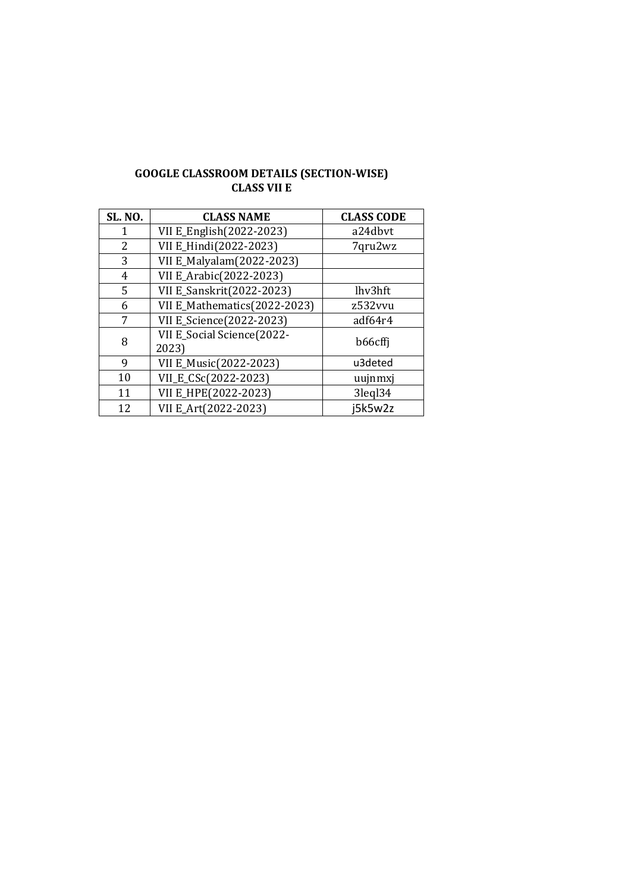| <b>GOOGLE CLASSROOM DETAILS (SECTION-WISE)</b> |
|------------------------------------------------|
| <b>CLASS VII E</b>                             |

| <b>SL. NO.</b> | <b>CLASS NAME</b>                   | <b>CLASS CODE</b> |
|----------------|-------------------------------------|-------------------|
| 1              | VII E_English(2022-2023)            | a24dbvt           |
| 2              | VII E_Hindi(2022-2023)              | 7qru2wz           |
| 3              | VII E_Malyalam(2022-2023)           |                   |
| 4              | VII E_Arabic(2022-2023)             |                   |
| 5              | VII E_Sanskrit(2022-2023)           | lhv3hft           |
| 6              | VII E_Mathematics(2022-2023)        | z532vvu           |
| 7              | VII E_Science(2022-2023)            | adf64r4           |
| 8              | VII E_Social Science(2022-<br>2023) | b66cffi           |
| 9              | VII E_Music(2022-2023)              | u3deted           |
| 10             | VII_E_CSc(2022-2023)                | uujnmxj           |
| 11             | VII E_HPE(2022-2023)                | 3leql34           |
| 12             | VII E Art(2022-2023)                | i5k5w2z           |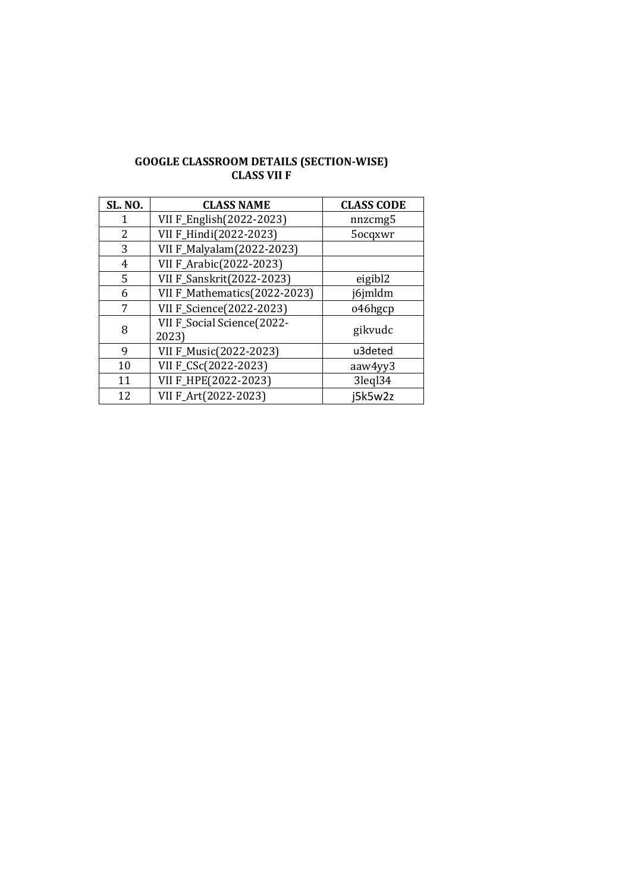# **GOOGLE CLASSROOM DETAILS (SECTION-WISE) CLASS VII F**

| <b>SL. NO.</b> | <b>CLASS NAME</b>                   | <b>CLASS CODE</b> |
|----------------|-------------------------------------|-------------------|
| 1              | VII F_English(2022-2023)            | nnzcmg5           |
| 2              | VII F_Hindi(2022-2023)              | 5ocqxwr           |
| 3              | VII F_Malyalam(2022-2023)           |                   |
| 4              | VII F_Arabic(2022-2023)             |                   |
| 5              | VII F_Sanskrit(2022-2023)           | eigibl2           |
| 6              | VII F_Mathematics(2022-2023)        | j6jmldm           |
| 7              | VII F_Science(2022-2023)            | o46hgcp           |
| 8              | VII F_Social Science(2022-<br>2023) | gikvudc           |
| 9              | VII F_Music(2022-2023)              | u3deted           |
| 10             | VII F_CSc(2022-2023)                | aaw4yy3           |
| 11             | VII F_HPE(2022-2023)                | 3leql34           |
| 12             | VII F_Art(2022-2023)                | j5k5w2z           |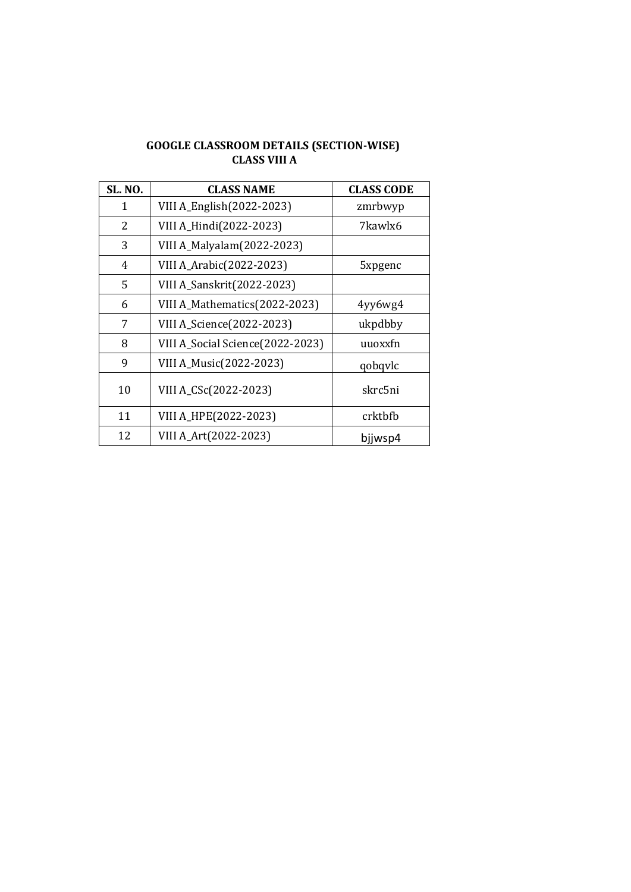#### **GOOGLE CLASSROOM DETAILS (SECTION-WISE) CLASS VIII A**

| <b>SL. NO.</b> | <b>CLASS NAME</b>                 | <b>CLASS CODE</b> |
|----------------|-----------------------------------|-------------------|
| 1              | VIII A_English(2022-2023)         | zmrbwyp           |
| 2              | VIII A_Hindi(2022-2023)           | 7kawlx6           |
| 3              | VIII A_Malyalam(2022-2023)        |                   |
| 4              | VIII A_Arabic(2022-2023)          | 5xpgenc           |
| 5              | <b>VIII A_Sanskrit(2022-2023)</b> |                   |
| 6              | VIII A_Mathematics(2022-2023)     | 4yy6wg4           |
| 7              | VIII A_Science(2022-2023)         | ukpdbby           |
| 8              | VIII A_Social Science(2022-2023)  | uuoxxfn           |
| 9              | VIII A_Music(2022-2023)           | qobqvlc           |
| 10             | VIII A_CSc(2022-2023)             | skrc5ni           |
| 11             | VIII A_HPE(2022-2023)             | crktbfb           |
| 12             | VIII A_Art(2022-2023)             | bjjwsp4           |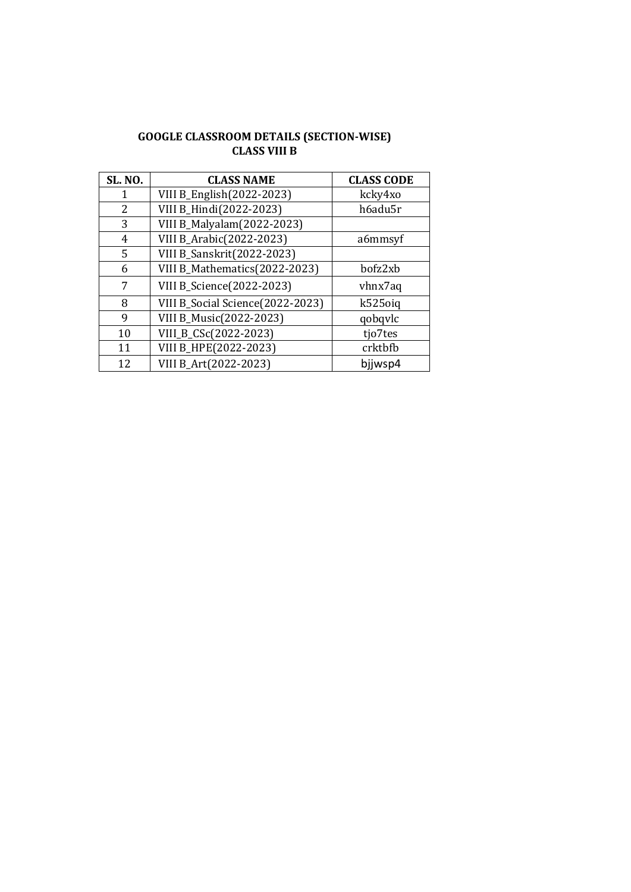| <b>GOOGLE CLASSROOM DETAILS (SECTION-WISE)</b> |
|------------------------------------------------|
| CLASS VIII B                                   |

| <b>SL. NO.</b> | <b>CLASS NAME</b>                 | <b>CLASS CODE</b> |
|----------------|-----------------------------------|-------------------|
| 1              | VIII B_English(2022-2023)         | kcky4xo           |
| 2              | VIII B_Hindi(2022-2023)           | h6adu5r           |
| 3              | VIII B_Malyalam(2022-2023)        |                   |
| 4              | VIII B_Arabic(2022-2023)          | a6mmsyf           |
| 5              | <b>VIII B_Sanskrit(2022-2023)</b> |                   |
| 6              | VIII B_Mathematics(2022-2023)     | bofz2xb           |
| 7              | VIII B_Science(2022-2023)         | vhnx7aq           |
| 8              | VIII B_Social Science(2022-2023)  | k525oig           |
| 9              | VIII B_Music(2022-2023)           | qobqvlc           |
| 10             | VIII_B_CSc(2022-2023)             | tjo7tes           |
| 11             | VIII B_HPE(2022-2023)             | crktbfb           |
| 12             | VIII B_Art(2022-2023)             | bijwsp4           |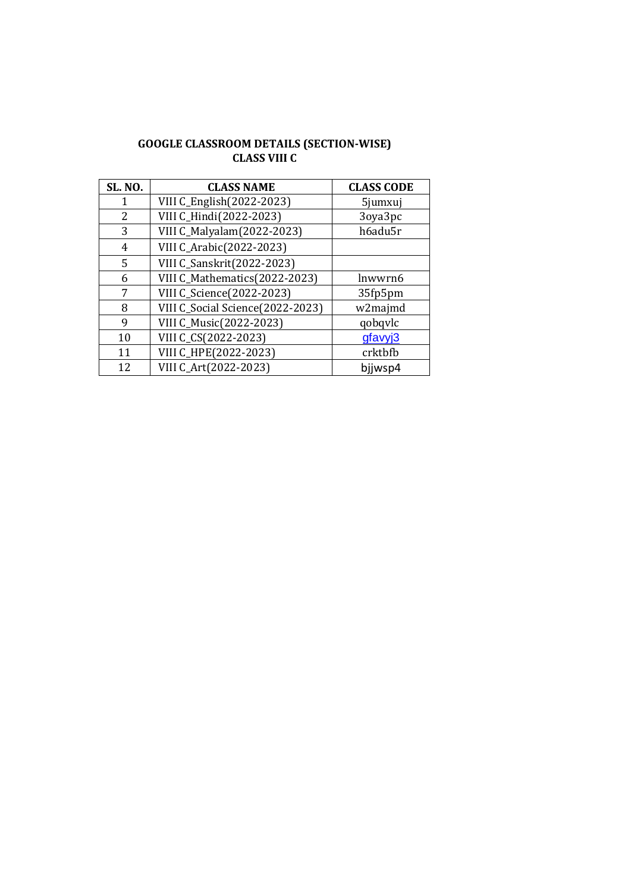#### **GOOGLE CLASSROOM DETAILS (SECTION-WISE) CLASS VIII C**

| <b>SL. NO.</b> | <b>CLASS NAME</b>                | <b>CLASS CODE</b> |
|----------------|----------------------------------|-------------------|
|                | VIII C_English(2022-2023)        | 5jumxuj           |
| 2              | VIII C_Hindi(2022-2023)          | 3oya3pc           |
| 3              | VIII C_Malyalam(2022-2023)       | h6adu5r           |
| 4              | VIII C_Arabic(2022-2023)         |                   |
| 5              | VIII C_Sanskrit(2022-2023)       |                   |
| 6              | VIII C_Mathematics(2022-2023)    | lnwwrn6           |
| 7              | VIII C_Science(2022-2023)        | 35fp5pm           |
| 8              | VIII C_Social Science(2022-2023) | w2majmd           |
| 9              | VIII C_Music(2022-2023)          | qobqvlc           |
| 10             | VIII C_CS(2022-2023)             | gfavyj3           |
| 11             | VIII C_HPE(2022-2023)            | crktbfb           |
| 12             | VIII C_Art(2022-2023)            | bijwsp4           |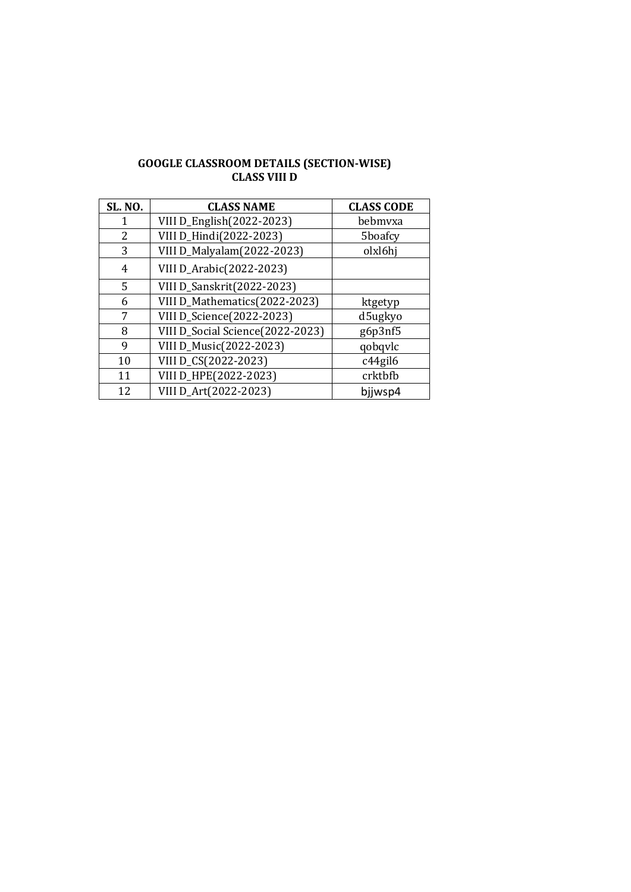| <b>GOOGLE CLASSROOM DETAILS (SECTION-WISE)</b> |
|------------------------------------------------|
| CLASS VIII D                                   |

| <b>SL. NO.</b> | <b>CLASS NAME</b>                 | <b>CLASS CODE</b> |
|----------------|-----------------------------------|-------------------|
|                | VIII D_English(2022-2023)         | bebmyxa           |
| 2              | VIII D_Hindi(2022-2023)           | 5boafcy           |
| 3              | VIII D_Malyalam(2022-2023)        | olxl6hj           |
| 4              | VIII D_Arabic(2022-2023)          |                   |
| 5              | <b>VIII D_Sanskrit(2022-2023)</b> |                   |
| 6              | VIII D_Mathematics(2022-2023)     | ktgetyp           |
| 7              | VIII D_Science(2022-2023)         | d5ugkyo           |
| 8              | VIII D_Social Science(2022-2023)  | g6p3nf5           |
| 9              | VIII D_Music(2022-2023)           | qobqvlc           |
| 10             | VIII D_CS(2022-2023)              | c44gil6           |
| 11             | VIII D_HPE(2022-2023)             | crktbfb           |
| 12             | VIII D_Art(2022-2023)             | bjjwsp4           |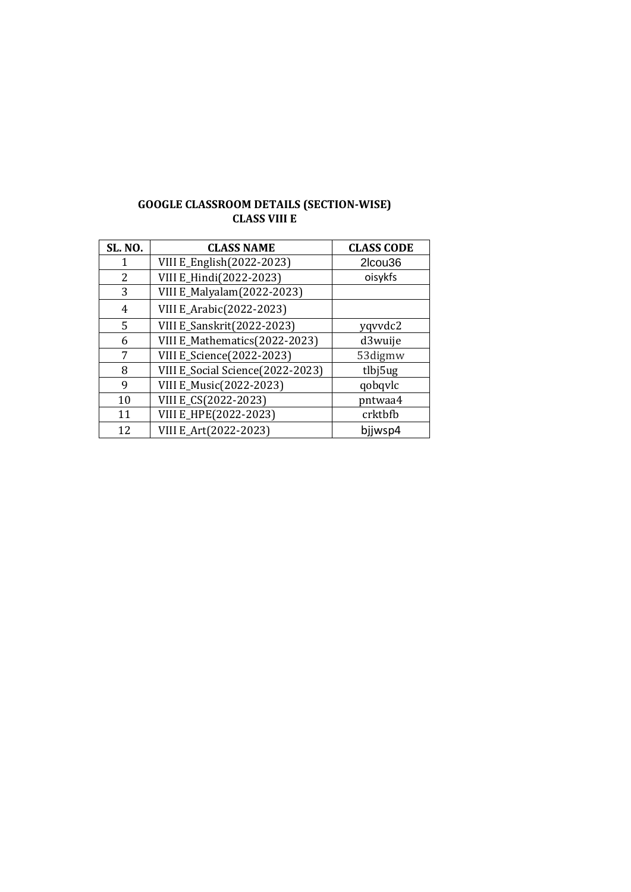| <b>GOOGLE CLASSROOM DETAILS (SECTION-WISE)</b> |
|------------------------------------------------|
| <b>CLASS VIII E</b>                            |

| <b>SL. NO.</b> | <b>CLASS NAME</b>                 | <b>CLASS CODE</b> |
|----------------|-----------------------------------|-------------------|
|                | VIII E_English(2022-2023)         | 2lcou36           |
| 2              | VIII E_Hindi(2022-2023)           | oisykfs           |
| 3              | VIII E_Malyalam(2022-2023)        |                   |
| 4              | VIII E_Arabic(2022-2023)          |                   |
| 5              | <b>VIII E_Sanskrit(2022-2023)</b> | yqvvdc2           |
| 6              | VIII E_Mathematics(2022-2023)     | d3wuije           |
| 7              | <b>VIII E_Science(2022-2023)</b>  | 53digmw           |
| 8              | VIII E_Social Science(2022-2023)  | tlbj5ug           |
| 9              | VIII E_Music(2022-2023)           | qobqvlc           |
| 10             | VIII E_CS(2022-2023)              | pntwaa4           |
| 11             | VIII E_HPE(2022-2023)             | crktbfb           |
| 12             | VIII E_Art(2022-2023)             | bijwsp4           |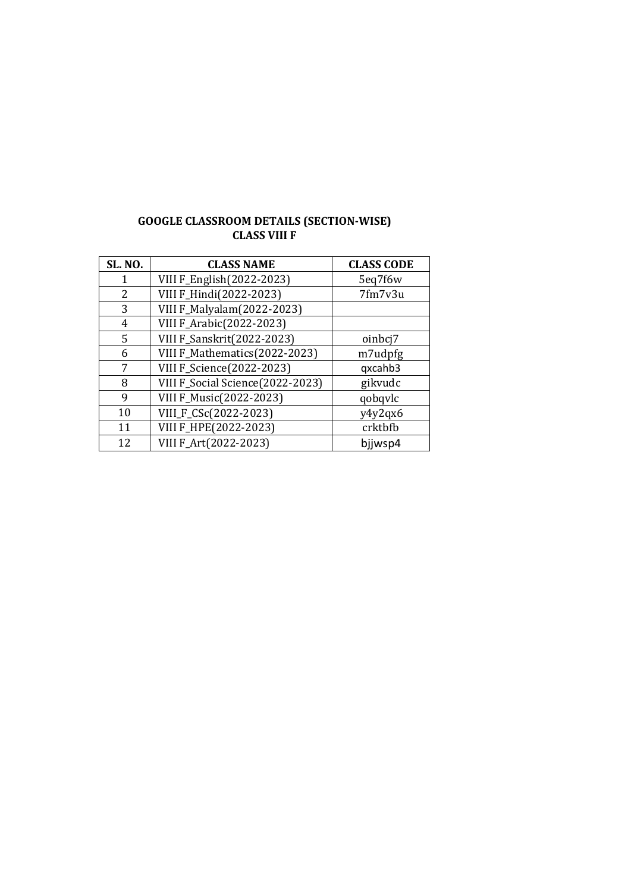| <b>GOOGLE CLASSROOM DETAILS (SECTION-WISE)</b> |  |
|------------------------------------------------|--|
| CLASS VIII F                                   |  |

| <b>SL. NO.</b> | <b>CLASS NAME</b>                 | <b>CLASS CODE</b> |
|----------------|-----------------------------------|-------------------|
|                | VIII F_English(2022-2023)         | 5eq7f6w           |
| 2              | VIII F_Hindi(2022-2023)           | 7fm7v3u           |
| 3              | VIII F_Malyalam(2022-2023)        |                   |
| 4              | VIII F_Arabic(2022-2023)          |                   |
| 5              | <b>VIII F_Sanskrit(2022-2023)</b> | oinbcj7           |
| 6              | VIII F_Mathematics(2022-2023)     | m7udpfg           |
| 7              | VIII F_Science(2022-2023)         | qxcahb3           |
| 8              | VIII F_Social Science(2022-2023)  | gikvudc           |
| 9              | VIII F_Music(2022-2023)           | qobqvlc           |
| 10             | VIII_F_CSc(2022-2023)             | y4y2qx6           |
| 11             | VIII F_HPE(2022-2023)             | crktbfb           |
| 12             | VIII F_Art(2022-2023)             | bjjwsp4           |